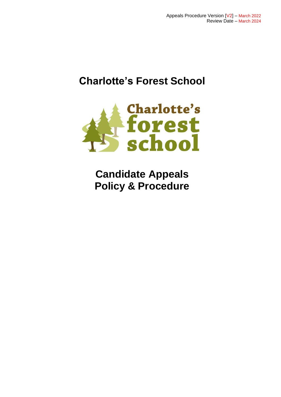# **Charlotte's Forest School**



**Candidate Appeals Policy & Procedure**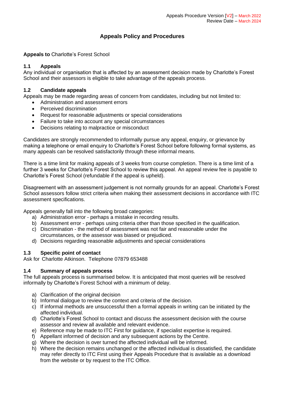# **Appeals Policy and Procedures**

# **Appeals to** Charlotte's Forest School

# **1.1 Appeals**

Any individual or organisation that is affected by an assessment decision made by Charlotte's Forest School and their assessors is eligible to take advantage of the appeals process.

#### **1.2 Candidate appeals**

Appeals may be made regarding areas of concern from candidates, including but not limited to:

- Administration and assessment errors
- Perceived discrimination
- Request for reasonable adjustments or special considerations
- Failure to take into account any special circumstances
- Decisions relating to malpractice or misconduct

Candidates are strongly recommended to informally pursue any appeal, enquiry, or grievance by making a telephone or email enquiry to Charlotte's Forest School before following formal systems, as many appeals can be resolved satisfactorily through these informal means.

There is a time limit for making appeals of 3 weeks from course completion. There is a time limit of a further 3 weeks for Charlotte's Forest School to review this appeal. An appeal review fee is payable to Charlotte's Forest School (refundable if the appeal is upheld).

Disagreement with an assessment judgement is not normally grounds for an appeal. Charlotte's Forest School assessors follow strict criteria when making their assessment decisions in accordance with ITC assessment specifications.

Appeals generally fall into the following broad categories:

- a) Administration error perhaps a mistake in recording results.
- b) Assessment error perhaps using criteria other than those specified in the qualification.
- c) Discrimination the method of assessment was not fair and reasonable under the circumstances, or the assessor was biased or prejudiced.
- d) Decisions regarding reasonable adjustments and special considerations

#### **1.3 Specific point of contact**

Ask for Charlotte Atkinson. Telephone 07879 653488

#### **1.4 Summary of appeals process**

The full appeals process is summarised below. It is anticipated that most queries will be resolved informally by Charlotte's Forest School with a minimum of delay.

- a) Clarification of the original decision
- b) Informal dialogue to review the context and criteria of the decision.
- c) If informal methods are unsuccessful then a formal appeals in writing can be initiated by the affected individual.
- d) Charlotte's Forest School to contact and discuss the assessment decision with the course assessor and review all available and relevant evidence.
- e) Reference may be made to ITC First for guidance, if specialist expertise is required.
- f) Appellant informed of decision and any subsequent actions by the Centre.
- g) Where the decision is over turned the affected individual will be informed.
- h) Where the decision remains unchanged or the affected individual is dissatisfied, the candidate may refer directly to ITC First using their Appeals Procedure that is available as a download from the website or by request to the ITC Office.